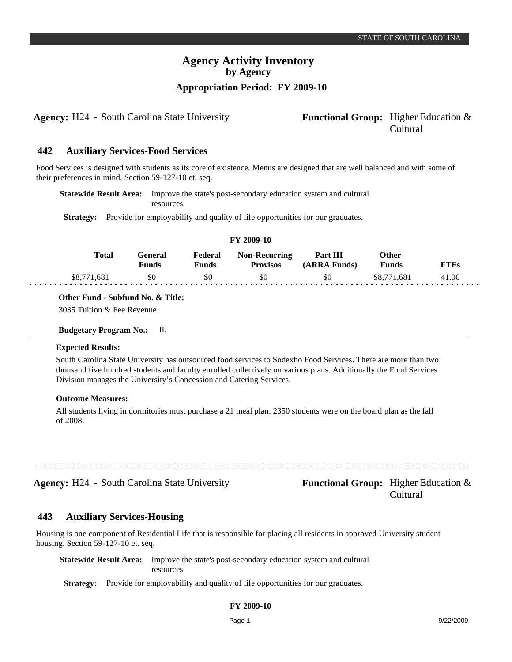**Agency:** H24 - South Carolina State University **Functional Group:** Higher Education &

# Cultural

#### **Auxiliary Services-Food Services 442**

Food Services is designed with students as its core of existence. Menus are designed that are well balanced and with some of their preferences in mind. Section 59-127-10 et. seq.

**Statewide Result Area:** Improve the state's post-secondary education system and cultural resources

**Strategy:** Provide for employability and quality of life opportunities for our graduates.

| FY 2009-10 |              |                         |                         |                                         |                          |                       |             |  |  |  |
|------------|--------------|-------------------------|-------------------------|-----------------------------------------|--------------------------|-----------------------|-------------|--|--|--|
|            | <b>Total</b> | General<br><b>Funds</b> | Federal<br><b>Funds</b> | <b>Non-Recurring</b><br><b>Provisos</b> | Part III<br>(ARRA Funds) | Other<br><b>Funds</b> | <b>FTEs</b> |  |  |  |
|            | \$8,771,681  | \$0                     | \$0                     | \$0                                     | \$0                      | \$8,771,681           | 41.00       |  |  |  |

**Other Fund - Subfund No. & Title:**

3035 Tuition & Fee Revenue

| <b>Budgetary Program No.:</b> |  | П. |
|-------------------------------|--|----|
|                               |  |    |

### **Expected Results:**

South Carolina State University has outsourced food services to Sodexho Food Services. There are more than two thousand five hundred students and faculty enrolled collectively on various plans. Additionally the Food Services Division manages the University's Concession and Catering Services.

### **Outcome Measures:**

All students living in dormitories must purchase a 21 meal plan. 2350 students were on the board plan as the fall of 2008.

| ----- |  |  |
|-------|--|--|
|       |  |  |
|       |  |  |

**Agency:** H24 - South Carolina State University **Functional Group:** Higher Education & Cultural

#### **Auxiliary Services-Housing 443**

Housing is one component of Residential Life that is responsible for placing all residents in approved University student housing. Section 59-127-10 et. seq.

**Statewide Result Area:** Improve the state's post-secondary education system and cultural resources

**Strategy:** Provide for employability and quality of life opportunities for our graduates.

# **FY 2009-10**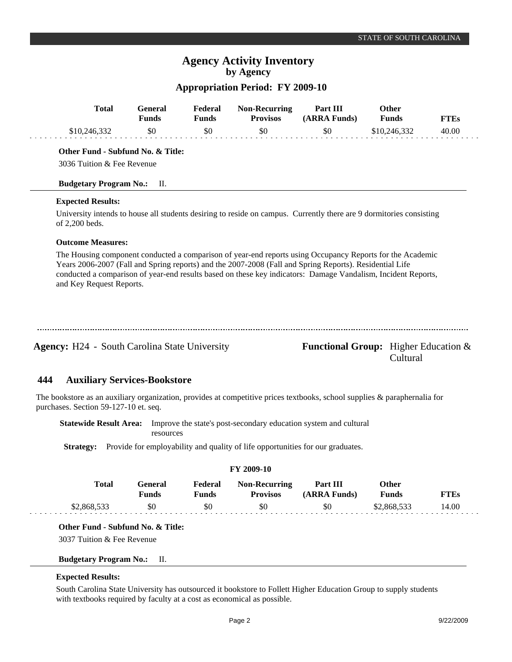# **Appropriation Period: FY 2009-10**

|     | <b>Total</b>                                                                                                                                                                                                                                                                                                                                                      | <b>General</b><br><b>Funds</b> | Federal<br><b>Funds</b> | <b>Non-Recurring</b><br><b>Provisos</b>                          | Part III<br>(ARRA Funds) | Other<br><b>Funds</b> | <b>FTEs</b>                                                |
|-----|-------------------------------------------------------------------------------------------------------------------------------------------------------------------------------------------------------------------------------------------------------------------------------------------------------------------------------------------------------------------|--------------------------------|-------------------------|------------------------------------------------------------------|--------------------------|-----------------------|------------------------------------------------------------|
|     | \$10,246,332                                                                                                                                                                                                                                                                                                                                                      | \$0                            | \$0                     | \$0                                                              | \$0                      | \$10,246,332          | 40.00                                                      |
|     | Other Fund - Subfund No. & Title:<br>3036 Tuition & Fee Revenue                                                                                                                                                                                                                                                                                                   |                                |                         |                                                                  |                          |                       |                                                            |
|     | <b>Budgetary Program No.:</b>                                                                                                                                                                                                                                                                                                                                     | П.                             |                         |                                                                  |                          |                       |                                                            |
|     | <b>Expected Results:</b>                                                                                                                                                                                                                                                                                                                                          |                                |                         |                                                                  |                          |                       |                                                            |
|     | University intends to house all students desiring to reside on campus. Currently there are 9 dormitories consisting<br>of 2,200 beds.                                                                                                                                                                                                                             |                                |                         |                                                                  |                          |                       |                                                            |
|     | <b>Outcome Measures:</b>                                                                                                                                                                                                                                                                                                                                          |                                |                         |                                                                  |                          |                       |                                                            |
|     | The Housing component conducted a comparison of year-end reports using Occupancy Reports for the Academic<br>Years 2006-2007 (Fall and Spring reports) and the 2007-2008 (Fall and Spring Reports). Residential Life<br>conducted a comparison of year-end results based on these key indicators: Damage Vandalism, Incident Reports,<br>and Key Request Reports. |                                |                         |                                                                  |                          |                       |                                                            |
|     | <b>Agency: H24 - South Carolina State University</b>                                                                                                                                                                                                                                                                                                              |                                |                         |                                                                  |                          |                       | <b>Functional Group:</b> Higher Education $\&$<br>Cultural |
| 444 | <b>Auxiliary Services-Bookstore</b>                                                                                                                                                                                                                                                                                                                               |                                |                         |                                                                  |                          |                       |                                                            |
|     | The bookstore as an auxiliary organization, provides at competitive prices textbooks, school supplies $\&$ paraphernalia for<br>purchases. Section 59-127-10 et. seq.                                                                                                                                                                                             |                                |                         |                                                                  |                          |                       |                                                            |
|     | <b>Statewide Result Area:</b>                                                                                                                                                                                                                                                                                                                                     | resources                      |                         | Improve the state's post-secondary education system and cultural |                          |                       |                                                            |

Strategy: Provide for employability and quality of life opportunities for our graduates.

| <b>FY 2009-10</b> |                  |                         |                                         |                          |                       |             |  |  |  |
|-------------------|------------------|-------------------------|-----------------------------------------|--------------------------|-----------------------|-------------|--|--|--|
| Total             | General<br>Funds | Federal<br><b>Funds</b> | <b>Non-Recurring</b><br><b>Provisos</b> | Part III<br>(ARRA Funds) | Other<br><b>Funds</b> | <b>FTEs</b> |  |  |  |
| \$2,868,533       | \$0              | \$0                     | \$0                                     | \$0                      | \$2,868,533           | 14.00       |  |  |  |

# **Other Fund - Subfund No. & Title:**

3037 Tuition & Fee Revenue

## **Budgetary Program No.:** II.

### **Expected Results:**

South Carolina State University has outsourced it bookstore to Follett Higher Education Group to supply students with textbooks required by faculty at a cost as economical as possible.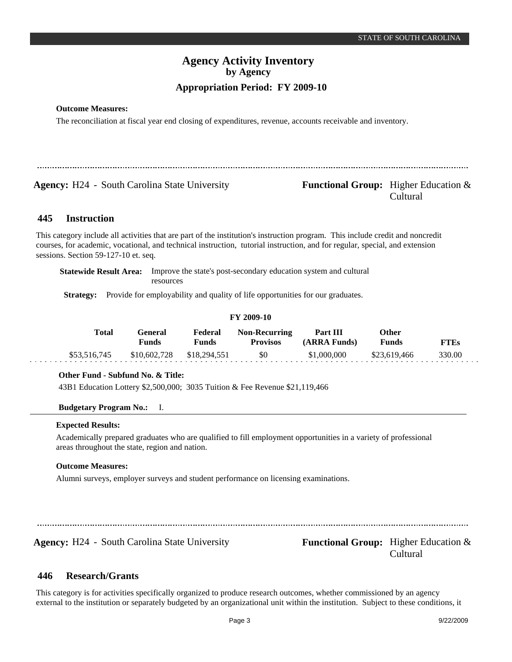# **Outcome Measures:**

The reconciliation at fiscal year end closing of expenditures, revenue, accounts receivable and inventory.

**Agency:** H24 - South Carolina State University **Functional Group:** Higher Education &

# Cultural

#### **Instruction 445**

This category include all activities that are part of the institution's instruction program. This include credit and noncredit courses, for academic, vocational, and technical instruction, tutorial instruction, and for regular, special, and extension sessions. Section 59-127-10 et. seq.

**Statewide Result Area:** Improve the state's post-secondary education system and cultural resources

**Strategy:** Provide for employability and quality of life opportunities for our graduates.

# **FY 2009-10**

| Total        | General<br>Funds | Federal<br>Funds | <b>Non-Recurring</b><br><b>Provisos</b> | Part III<br>(ARRA Funds) | Other<br><b>Funds</b> | FTEs   |  |
|--------------|------------------|------------------|-----------------------------------------|--------------------------|-----------------------|--------|--|
| \$53,516,745 | \$10,602,728     | \$18,294,551     | \$0                                     | \$1,000,000              | \$23,619,466          | 330.00 |  |

# **Other Fund - Subfund No. & Title:**

43B1 Education Lottery \$2,500,000; 3035 Tuition & Fee Revenue \$21,119,466

# **Budgetary Program No.:** I.

# **Expected Results:**

Academically prepared graduates who are qualified to fill employment opportunities in a variety of professional areas throughout the state, region and nation.

# **Outcome Measures:**

Alumni surveys, employer surveys and student performance on licensing examinations.

**Agency:** H24 - South Carolina State University **Functional Group:** Higher Education &

Cultural

#### **Research/Grants 446**

This category is for activities specifically organized to produce research outcomes, whether commissioned by an agency external to the institution or separately budgeted by an organizational unit within the institution. Subject to these conditions, it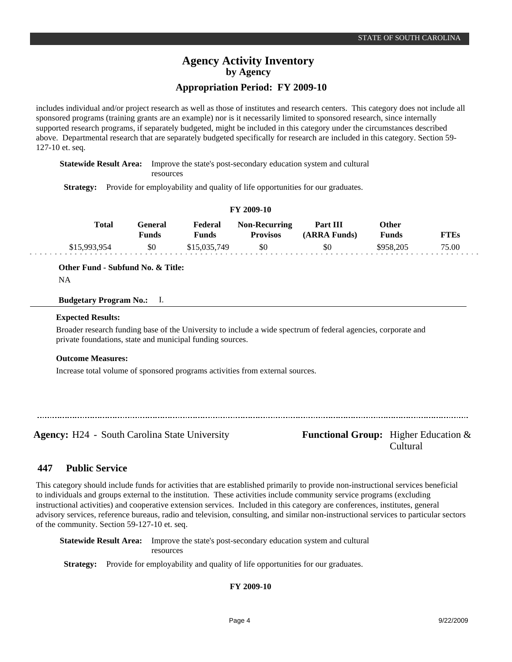# **Appropriation Period: FY 2009-10**

includes individual and/or project research as well as those of institutes and research centers. This category does not include all sponsored programs (training grants are an example) nor is it necessarily limited to sponsored research, since internally supported research programs, if separately budgeted, might be included in this category under the circumstances described above. Departmental research that are separately budgeted specifically for research are included in this category. Section 59- 127-10 et. seq.

**Statewide Result Area:** Improve the state's post-secondary education system and cultural resources

**Strategy:** Provide for employability and quality of life opportunities for our graduates.

| FY 2009-10 |  |  |
|------------|--|--|
|------------|--|--|

| <b>Total</b> | General<br>Funds | Federal<br>Funds | <b>Non-Recurring</b><br><b>Provisos</b> | Part III<br>(ARRA Funds) | Other<br>Funds | FTEs  |  |
|--------------|------------------|------------------|-----------------------------------------|--------------------------|----------------|-------|--|
| \$15,993,954 | \$0              | \$15,035,749     | \$0                                     | \$0                      | \$958,205      | 75.00 |  |

**Other Fund - Subfund No. & Title:**

```
NA
```
# **Budgetary Program No.:** I.

## **Expected Results:**

Broader research funding base of the University to include a wide spectrum of federal agencies, corporate and private foundations, state and municipal funding sources.

# **Outcome Measures:**

Increase total volume of sponsored programs activities from external sources.

Agency: H24 - South Carolina State University Functional Group: Higher Education &

Cultural

#### **Public Service 447**

This category should include funds for activities that are established primarily to provide non-instructional services beneficial to individuals and groups external to the institution. These activities include community service programs (excluding instructional activities) and cooperative extension services. Included in this category are conferences, institutes, general advisory services, reference bureaus, radio and television, consulting, and similar non-instructional services to particular sectors of the community. Section 59-127-10 et. seq.

**Statewide Result Area:** Improve the state's post-secondary education system and cultural resources

**Strategy:** Provide for employability and quality of life opportunities for our graduates.

**FY 2009-10**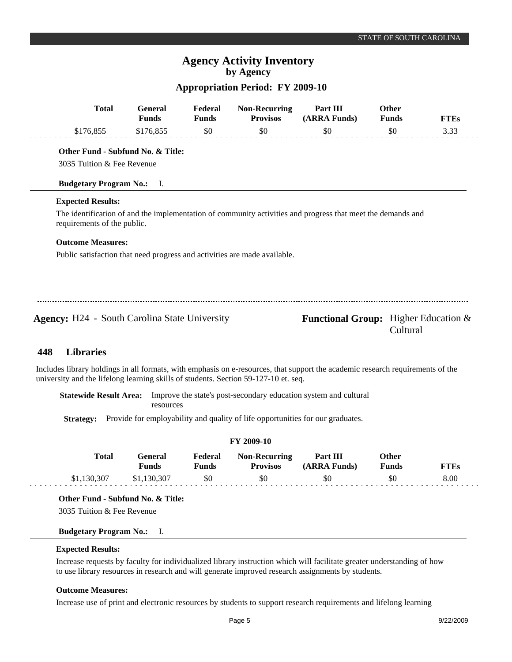# **Appropriation Period: FY 2009-10**

|     | <b>Total</b>                                                              | <b>General</b><br><b>Funds</b> | Federal<br><b>Funds</b> | <b>Non-Recurring</b><br><b>Provisos</b> | Part III<br>(ARRA Funds)                                                                                    | Other<br><b>Funds</b> | <b>FTEs</b> |
|-----|---------------------------------------------------------------------------|--------------------------------|-------------------------|-----------------------------------------|-------------------------------------------------------------------------------------------------------------|-----------------------|-------------|
|     | \$176,855                                                                 | \$176,855                      | \$0                     | \$0                                     | \$0                                                                                                         | \$0                   | 3.33        |
|     | Other Fund - Subfund No. & Title:                                         |                                |                         |                                         |                                                                                                             |                       |             |
|     | 3035 Tuition & Fee Revenue                                                |                                |                         |                                         |                                                                                                             |                       |             |
|     | <b>Budgetary Program No.:</b> I.                                          |                                |                         |                                         |                                                                                                             |                       |             |
|     | <b>Expected Results:</b>                                                  |                                |                         |                                         |                                                                                                             |                       |             |
|     | requirements of the public.                                               |                                |                         |                                         | The identification of and the implementation of community activities and progress that meet the demands and |                       |             |
|     | <b>Outcome Measures:</b>                                                  |                                |                         |                                         |                                                                                                             |                       |             |
|     | Public satisfaction that need progress and activities are made available. |                                |                         |                                         |                                                                                                             |                       |             |
|     |                                                                           |                                |                         |                                         |                                                                                                             |                       |             |
|     |                                                                           |                                |                         |                                         |                                                                                                             |                       |             |
|     | <b>Agency:</b> H24 - South Carolina State University                      |                                |                         |                                         | <b>Functional Group:</b> Higher Education $\&$                                                              | Cultural              |             |
| 448 | <b>Libraries</b>                                                          |                                |                         |                                         |                                                                                                             |                       |             |

Includes library holdings in all formats, with emphasis on e-resources, that support the academic research requirements of the university and the lifelong learning skills of students. Section 59-127-10 et. seq.

**Statewide Result Area:** Improve the state's post-secondary education system and cultural resources

**Strategy:** Provide for employability and quality of life opportunities for our graduates.

| <b>FY 2009-10</b> |             |                         |                         |                                         |                          |                              |             |  |  |
|-------------------|-------------|-------------------------|-------------------------|-----------------------------------------|--------------------------|------------------------------|-------------|--|--|
|                   | Total       | General<br><b>Funds</b> | Federal<br><b>Funds</b> | <b>Non-Recurring</b><br><b>Provisos</b> | Part III<br>(ARRA Funds) | <b>Other</b><br><b>Funds</b> | <b>FTEs</b> |  |  |
|                   | \$1,130,307 | \$1,130,307             | -\$0                    | -\$0                                    | \$0                      | \$0                          | 8.00        |  |  |

**Other Fund - Subfund No. & Title:**

3035 Tuition & Fee Revenue

# **Budgetary Program No.:** I.

# **Expected Results:**

Increase requests by faculty for individualized library instruction which will facilitate greater understanding of how to use library resources in research and will generate improved research assignments by students.

# **Outcome Measures:**

Increase use of print and electronic resources by students to support research requirements and lifelong learning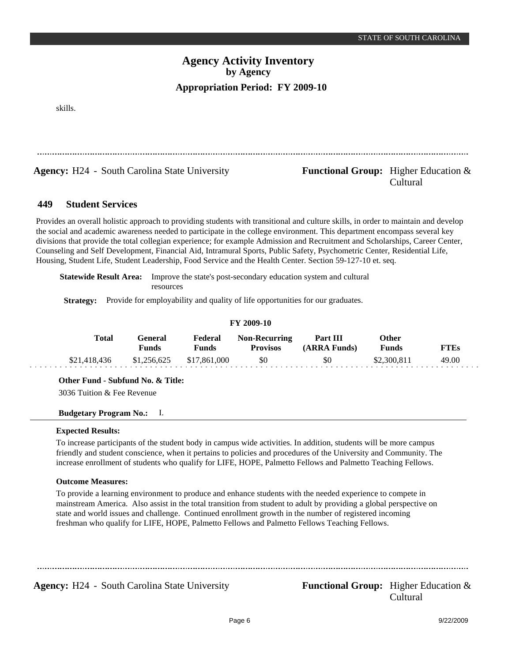skills.

**Agency:** H24 - South Carolina State University **Functional Group:** Higher Education &

# Cultural

#### **Student Services 449**

Provides an overall holistic approach to providing students with transitional and culture skills, in order to maintain and develop the social and academic awareness needed to participate in the college environment. This department encompass several key divisions that provide the total collegian experience; for example Admission and Recruitment and Scholarships, Career Center, Counseling and Self Development, Financial Aid, Intramural Sports, Public Safety, Psychometric Center, Residential Life, Housing, Student Life, Student Leadership, Food Service and the Health Center. Section 59-127-10 et. seq.

**Statewide Result Area:** Improve the state's post-secondary education system and cultural resources

**Strategy:** Provide for employability and quality of life opportunities for our graduates.

| FY 2009-10   |                  |                  |                                         |                          |                       |             |  |  |  |  |  |
|--------------|------------------|------------------|-----------------------------------------|--------------------------|-----------------------|-------------|--|--|--|--|--|
| Total        | General<br>Funds | Federal<br>Funds | <b>Non-Recurring</b><br><b>Provisos</b> | Part III<br>(ARRA Funds) | Other<br><b>Funds</b> | <b>FTEs</b> |  |  |  |  |  |
| \$21,418,436 | \$1,256,625      | \$17,861,000     | \$0                                     | \$0                      | \$2,300,811           | 49.00       |  |  |  |  |  |

**Other Fund - Subfund No. & Title:**

3036 Tuition & Fee Revenue

# **Budgetary Program No.:** I.

### **Expected Results:**

To increase participants of the student body in campus wide activities. In addition, students will be more campus friendly and student conscience, when it pertains to policies and procedures of the University and Community. The increase enrollment of students who qualify for LIFE, HOPE, Palmetto Fellows and Palmetto Teaching Fellows.

# **Outcome Measures:**

To provide a learning environment to produce and enhance students with the needed experience to compete in mainstream America. Also assist in the total transition from student to adult by providing a global perspective on state and world issues and challenge. Continued enrollment growth in the number of registered incoming freshman who qualify for LIFE, HOPE, Palmetto Fellows and Palmetto Fellows Teaching Fellows.

**Agency:** H24 - South Carolina State University **Functional Group:** Higher Education &

Cultural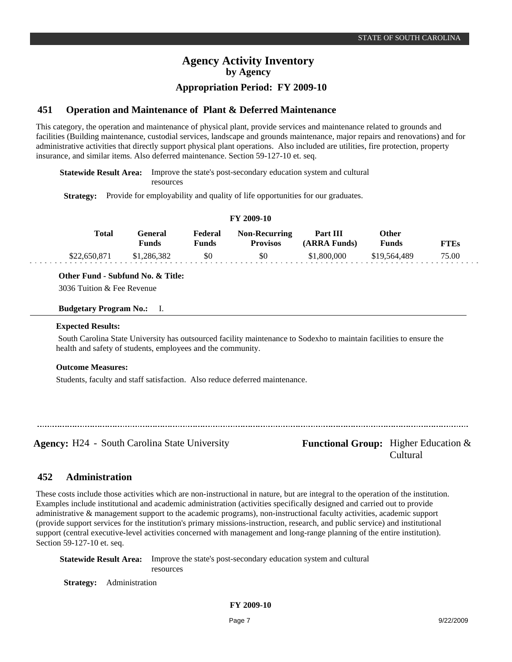# **Appropriation Period: FY 2009-10**

#### **Operation and Maintenance of Plant & Deferred Maintenance 451**

This category, the operation and maintenance of physical plant, provide services and maintenance related to grounds and facilities (Building maintenance, custodial services, landscape and grounds maintenance, major repairs and renovations) and for administrative activities that directly support physical plant operations. Also included are utilities, fire protection, property insurance, and similar items. Also deferred maintenance. Section 59-127-10 et. seq.

**Statewide Result Area:** Improve the state's post-secondary education system and cultural resources

**Strategy:** Provide for employability and quality of life opportunities for our graduates.

| FY 2009-10   |                  |                  |                                         |                          |                              |             |  |  |  |  |
|--------------|------------------|------------------|-----------------------------------------|--------------------------|------------------------------|-------------|--|--|--|--|
| Total        | General<br>Funds | Federal<br>Funds | <b>Non-Recurring</b><br><b>Provisos</b> | Part III<br>(ARRA Funds) | <b>Other</b><br><b>Funds</b> | <b>FTEs</b> |  |  |  |  |
| \$22,650,871 | \$1,286,382      | \$0              | \$0                                     | \$1,800,000              | \$19,564,489                 | 75.00       |  |  |  |  |

**Other Fund - Subfund No. & Title:**

3036 Tuition & Fee Revenue

# **Budgetary Program No.:** I.

## **Expected Results:**

 South Carolina State University has outsourced facility maintenance to Sodexho to maintain facilities to ensure the health and safety of students, employees and the community.

# **Outcome Measures:**

Students, faculty and staff satisfaction. Also reduce deferred maintenance.

Agency: H24 - South Carolina State University Functional Group: Higher Education &

Cultural

#### **Administration 452**

These costs include those activities which are non-instructional in nature, but are integral to the operation of the institution. Examples include institutional and academic administration (activities specifically designed and carried out to provide administrative & management support to the academic programs), non-instructional faculty activities, academic support (provide support services for the institution's primary missions-instruction, research, and public service) and institutional support (central executive-level activities concerned with management and long-range planning of the entire institution). Section 59-127-10 et. seq.

**Statewide Result Area:** Improve the state's post-secondary education system and cultural resources

**Strategy:** Administration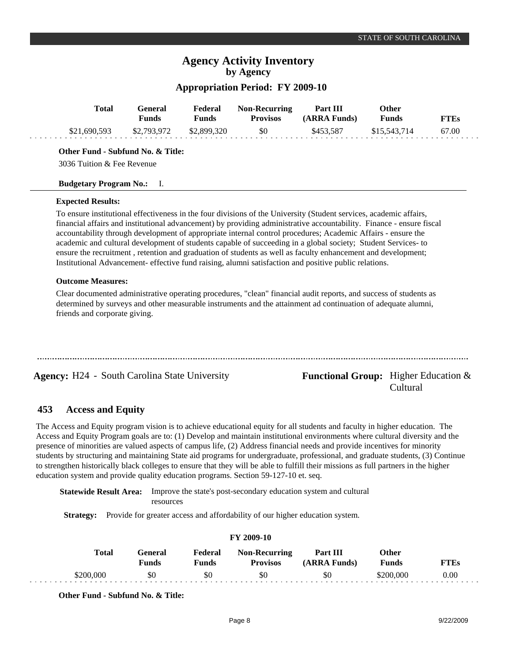# **Appropriation Period: FY 2009-10**

| Total        | General<br><b>Funds</b> | Federal<br><b>Funds</b> | <b>Non-Recurring</b><br><b>Provisos</b> | Part III<br>(ARRA Funds) | Other<br>Funds | <b>FTEs</b> |
|--------------|-------------------------|-------------------------|-----------------------------------------|--------------------------|----------------|-------------|
| \$21,690,593 | \$2,793,972             | \$2,899,320             | \$0                                     | \$453.587                | \$15,543,714   | 67.00       |
|              |                         |                         |                                         |                          |                |             |

**Other Fund - Subfund No. & Title:**

3036 Tuition & Fee Revenue

## **Budgetary Program No.:** I.

## **Expected Results:**

To ensure institutional effectiveness in the four divisions of the University (Student services, academic affairs, financial affairs and institutional advancement) by providing administrative accountability. Finance - ensure fiscal accountability through development of appropriate internal control procedures; Academic Affairs - ensure the academic and cultural development of students capable of succeeding in a global society; Student Services- to ensure the recruitment , retention and graduation of students as well as faculty enhancement and development; Institutional Advancement- effective fund raising, alumni satisfaction and positive public relations.

# **Outcome Measures:**

Clear documented administrative operating procedures, "clean" financial audit reports, and success of students as determined by surveys and other measurable instruments and the attainment ad continuation of adequate alumni, friends and corporate giving.

**Agency:** H24 - South Carolina State University **Functional Group:** Higher Education &

# Cultural

#### **Access and Equity 453**

The Access and Equity program vision is to achieve educational equity for all students and faculty in higher education. The Access and Equity Program goals are to: (1) Develop and maintain institutional environments where cultural diversity and the presence of minorities are valued aspects of campus life, (2) Address financial needs and provide incentives for minority students by structuring and maintaining State aid programs for undergraduate, professional, and graduate students, (3) Continue to strengthen historically black colleges to ensure that they will be able to fulfill their missions as full partners in the higher education system and provide quality education programs. Section 59-127-10 et. seq.

**Statewide Result Area:** Improve the state's post-secondary education system and cultural resources

**Strategy:** Provide for greater access and affordability of our higher education system.

| FY 2009-10 |                  |                  |                                         |                          |                       |             |  |
|------------|------------------|------------------|-----------------------------------------|--------------------------|-----------------------|-------------|--|
| Total      | General<br>Funds | Federal<br>Funds | <b>Non-Recurring</b><br><b>Provisos</b> | Part III<br>(ARRA Funds) | Other<br><b>Funds</b> | <b>FTEs</b> |  |
| \$200,000  | \$0              | \$0              | \$0                                     | \$0                      | \$200,000             | 0.00        |  |

**Other Fund - Subfund No. & Title:**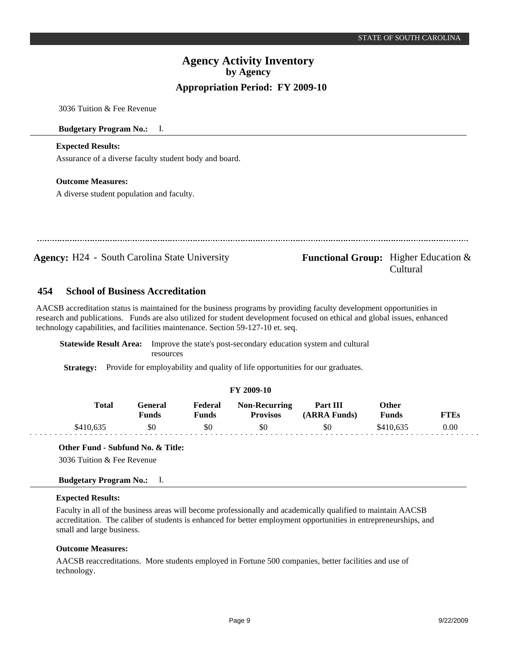Cultural

# **Agency Activity Inventory by Agency Appropriation Period: FY 2009-10**

3036 Tuition & Fee Revenue

## **Budgetary Program No.:** I.

# **Expected Results:**

Assurance of a diverse faculty student body and board.

## **Outcome Measures:**

A diverse student population and faculty.

**Agency:** H24 - South Carolina State University **Functional Group:** Higher Education &

#### **School of Business Accreditation 454**

AACSB accreditation status is maintained for the business programs by providing faculty development opportunities in research and publications. Funds are also utilized for student development focused on ethical and global issues, enhanced technology capabilities, and facilities maintenance. Section 59-127-10 et. seq.

**Statewide Result Area:** Improve the state's post-secondary education system and cultural resources

**Strategy:** Provide for employability and quality of life opportunities for our graduates.

# **FY 2009-10**

| Total | ÷eneral<br>Funds | Federal<br>Funds | <b>Non-Recurring</b><br>Provisos | Part III<br><b>ARRA Funds)</b> | Other<br>Funds | FT Es |
|-------|------------------|------------------|----------------------------------|--------------------------------|----------------|-------|
|       | \$0              | \$0              | \$0                              | \$0                            | \$410.635      | 0.00  |

### **Other Fund - Subfund No. & Title:**

3036 Tuition & Fee Revenue

# **Budgetary Program No.:** I.

### **Expected Results:**

Faculty in all of the business areas will become professionally and academically qualified to maintain AACSB accreditation. The caliber of students is enhanced for better employment opportunities in entrepreneurships, and small and large business.

### **Outcome Measures:**

AACSB reaccreditations. More students employed in Fortune 500 companies, better facilities and use of technology.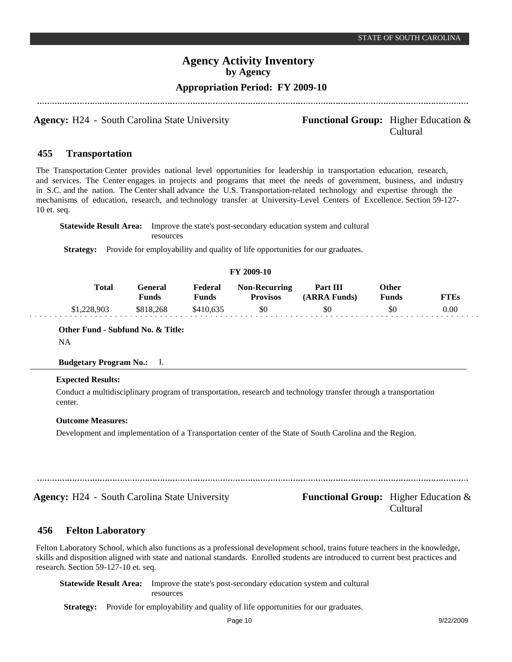# **Appropriation Period: FY 2009-10**

**Agency:** H24 - South Carolina State University **Functional Group:** Higher Education &

# Cultural

#### **Transportation 455**

The Transportation Center provides national level opportunities for leadership in transportation education, research, and services. The Center engages in projects and programs that meet the needs of government, business, and industry in S.C. and the nation. The Center shall advance the U.S. Transportation-related technology and expertise through the mechanisms of education, research, and technology transfer at University-Level Centers of Excellence. Section 59-127- 10 et. seq.

**Statewide Result Area:** Improve the state's post-secondary education system and cultural resources

**Strategy:** Provide for employability and quality of life opportunities for our graduates.

### **FY 2009-10**

| <b>Total</b> | :eneral<br>Funds | Federal<br>Funds | <b>Non-Recurring</b><br><b>Provisos</b> | Part III<br>(ARRA Funds) | Other<br>Funds | TTEs |
|--------------|------------------|------------------|-----------------------------------------|--------------------------|----------------|------|
| \$1,228,903  | \$818,268        | \$410.635        | \$0                                     | \$0                      | 20             | 0.00 |

**Other Fund - Subfund No. & Title:**

NA

## **Budgetary Program No.:** I.

# **Expected Results:**

Conduct a multidisciplinary program of transportation, research and technology transfer through a transportation center.

#### **Outcome Measures:**

Development and implementation of a Transportation center of the State of South Carolina and the Region.

**Agency:** H24 - South Carolina State University **Functional Group:** Higher Education &

Cultural

#### **Felton Laboratory 456**

Felton Laboratory School, which also functions as a professional development school, trains future teachers in the knowledge, skills and disposition aligned with state and national standards. Enrolled students are introduced to current best practices and research. Section 59-127-10 et. seq.

**Statewide Result Area:** Improve the state's post-secondary education system and cultural resources

Strategy: Provide for employability and quality of life opportunities for our graduates.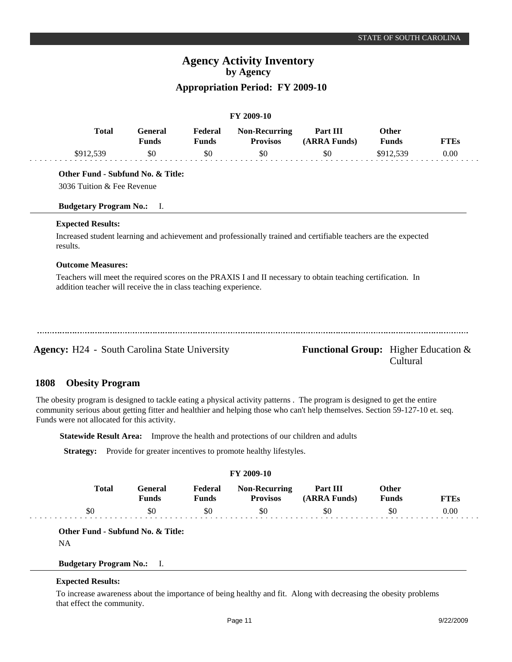# **Appropriation Period: FY 2009-10**

|                                                                                                                                                                                 | <b>General</b><br><b>Funds</b> | Federal<br><b>Funds</b> | <b>Non-Recurring</b><br><b>Provisos</b> | Part III<br>(ARRA Funds) | <b>Other</b><br><b>Funds</b> | <b>FTEs</b> |
|---------------------------------------------------------------------------------------------------------------------------------------------------------------------------------|--------------------------------|-------------------------|-----------------------------------------|--------------------------|------------------------------|-------------|
| \$912,539                                                                                                                                                                       | \$0                            | \$0                     | \$0                                     | \$0                      | \$912,539                    | 0.00        |
| Other Fund - Subfund No. & Title:                                                                                                                                               |                                |                         |                                         |                          |                              |             |
| 3036 Tuition & Fee Revenue                                                                                                                                                      |                                |                         |                                         |                          |                              |             |
| <b>Budgetary Program No.:</b> I.                                                                                                                                                |                                |                         |                                         |                          |                              |             |
| <b>Expected Results:</b>                                                                                                                                                        |                                |                         |                                         |                          |                              |             |
| Increased student learning and achievement and professionally trained and certifiable teachers are the expected<br>results.                                                     |                                |                         |                                         |                          |                              |             |
| <b>Outcome Measures:</b>                                                                                                                                                        |                                |                         |                                         |                          |                              |             |
| Teachers will meet the required scores on the PRAXIS I and II necessary to obtain teaching certification. In<br>addition teacher will receive the in class teaching experience. |                                |                         |                                         |                          |                              |             |
|                                                                                                                                                                                 |                                |                         |                                         |                          |                              |             |
|                                                                                                                                                                                 |                                |                         |                                         |                          |                              |             |
|                                                                                                                                                                                 |                                |                         |                                         |                          |                              |             |

Cultural

#### **Obesity Program 1808**

The obesity program is designed to tackle eating a physical activity patterns . The program is designed to get the entire community serious about getting fitter and healthier and helping those who can't help themselves. Section 59-127-10 et. seq. Funds were not allocated for this activity.

**Statewide Result Area:** Improve the health and protections of our children and adults

**Strategy:** Provide for greater incentives to promote healthy lifestyles.

| <b>FY 2009-10</b> |       |                         |                  |                                         |                          |                              |             |  |
|-------------------|-------|-------------------------|------------------|-----------------------------------------|--------------------------|------------------------------|-------------|--|
|                   | Total | General<br><b>Funds</b> | Federal<br>Funds | <b>Non-Recurring</b><br><b>Provisos</b> | Part III<br>(ARRA Funds) | <b>Other</b><br><b>Funds</b> | <b>FTEs</b> |  |
|                   | \$0   | \$0                     | \$0              | \$0                                     | \$0                      | SC                           | 0.00        |  |

**Other Fund - Subfund No. & Title:**

NA

 $\omega_{\rm{eff}}$ 

**Budgetary Program No.:** I.

## **Expected Results:**

To increase awareness about the importance of being healthy and fit. Along with decreasing the obesity problems that effect the community.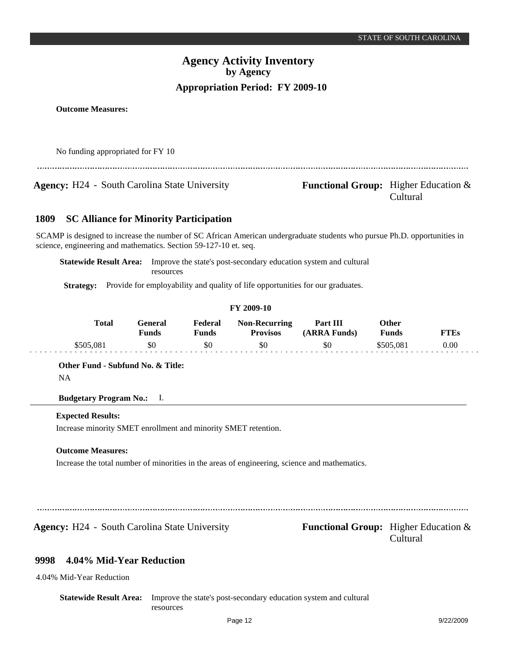**Outcome Measures:**

No funding appropriated for FY 10

**Agency:** H24 - South Carolina State University **- Functional Group:** Higher Education &

# Cultural

#### **SC Alliance for Minority Participation 1809**

SCAMP is designed to increase the number of SC African American undergraduate students who pursue Ph.D. opportunities in science, engineering and mathematics. Section 59-127-10 et. seq.

**Statewide Result Area:** Improve the state's post-secondary education system and cultural resources

Strategy: Provide for employability and quality of life opportunities for our graduates.

# **FY 2009-10**

| <b>Total</b> | ÷eneral<br>Funds | Federal<br>Funds | <b>Non-Recurring</b><br><b>Provisos</b> | Part III<br>(ARRA Funds) | Other<br><b>Funds</b> | TTEs |
|--------------|------------------|------------------|-----------------------------------------|--------------------------|-----------------------|------|
| \$505,081    | \$0              | \$0              | \$0                                     | \$0                      | \$505.081             | 0.00 |

# **Other Fund - Subfund No. & Title:** NA

**Budgetary Program No.:** I.

# **Expected Results:**

Increase minority SMET enrollment and minority SMET retention.

# **Outcome Measures:**

Increase the total number of minorities in the areas of engineering, science and mathematics.

**Agency:** H24 - South Carolina State University **Functional Group:** Higher Education &

Cultural

#### **4.04% Mid-Year Reduction 9998**

4.04% Mid-Year Reduction

**Statewide Result Area:** Improve the state's post-secondary education system and cultural resources